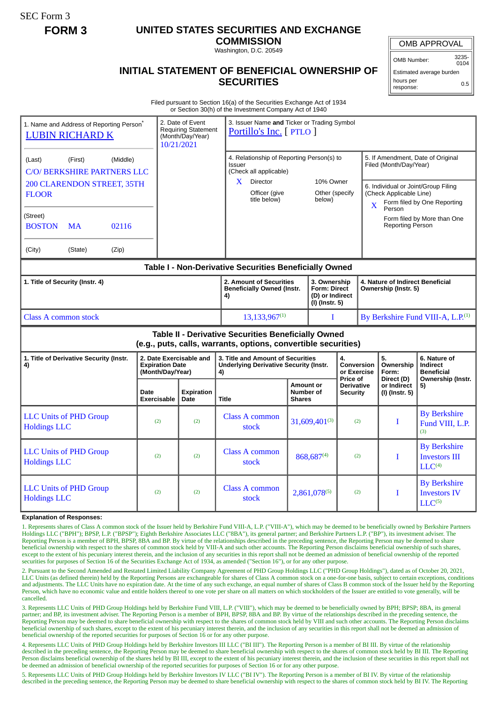SEC Form 3

## **FORM 3 UNITED STATES SECURITIES AND EXCHANGE**

**COMMISSION** Washington, D.C. 20549

OMB APPROVAL

OMB Number: 3235- 0104

Estimated average burden hours per 0.5

response:

## **INITIAL STATEMENT OF BENEFICIAL OWNERSHIP OF SECURITIES**

Filed pursuant to Section 16(a) of the Securities Exchange Act of 1934 or Section 30(h) of the Investment Company Act of 1940

| 1. Name and Address of Reporting Person*<br><b>LUBIN RICHARD K</b>                                                    |                                                                       | 3. Issuer Name and Ticker or Trading Symbol<br>2. Date of Event<br><b>Requiring Statement</b><br>Portillo's Inc. [ PTLO ]<br>(Month/Day/Year)<br>10/21/2021 |                                                                                          |                          |                                                                   |                                                                                  |                                                                                                    |                                                        |                                                                   |
|-----------------------------------------------------------------------------------------------------------------------|-----------------------------------------------------------------------|-------------------------------------------------------------------------------------------------------------------------------------------------------------|------------------------------------------------------------------------------------------|--------------------------|-------------------------------------------------------------------|----------------------------------------------------------------------------------|----------------------------------------------------------------------------------------------------|--------------------------------------------------------|-------------------------------------------------------------------|
| (Middle)<br>(First)<br>(Last)<br>C/O/ BERKSHIRE PARTNERS LLC<br><b>200 CLARENDON STREET, 35TH</b>                     |                                                                       | 4. Relationship of Reporting Person(s) to<br>Issuer<br>(Check all applicable)<br>$\mathbf{X}$<br>Director                                                   |                                                                                          | 10% Owner                |                                                                   |                                                                                  | 5. If Amendment, Date of Original<br>Filed (Month/Day/Year)<br>6. Individual or Joint/Group Filing |                                                        |                                                                   |
| <b>FLOOR</b>                                                                                                          |                                                                       |                                                                                                                                                             | Officer (give<br>title below)                                                            | Other (specify<br>below) |                                                                   | (Check Applicable Line)<br>Form filed by One Reporting<br>$\mathbf{x}$<br>Person |                                                                                                    |                                                        |                                                                   |
| (Street)<br><b>BOSTON</b><br><b>MA</b><br>02116                                                                       |                                                                       |                                                                                                                                                             |                                                                                          |                          |                                                                   |                                                                                  |                                                                                                    | Form filed by More than One<br><b>Reporting Person</b> |                                                                   |
| (City)<br>(State)<br>(Zip)                                                                                            |                                                                       |                                                                                                                                                             |                                                                                          |                          |                                                                   |                                                                                  |                                                                                                    |                                                        |                                                                   |
| Table I - Non-Derivative Securities Beneficially Owned                                                                |                                                                       |                                                                                                                                                             |                                                                                          |                          |                                                                   |                                                                                  |                                                                                                    |                                                        |                                                                   |
| 1. Title of Security (Instr. 4)                                                                                       |                                                                       |                                                                                                                                                             | 2. Amount of Securities<br><b>Beneficially Owned (Instr.</b><br>4)                       |                          | 3. Ownership<br>Form: Direct<br>(D) or Indirect<br>(I) (Instr. 5) |                                                                                  | 4. Nature of Indirect Beneficial<br>Ownership (Instr. 5)                                           |                                                        |                                                                   |
| <b>Class A common stock</b>                                                                                           |                                                                       |                                                                                                                                                             | $13,133,967^{(1)}$                                                                       |                          | T                                                                 |                                                                                  |                                                                                                    |                                                        | By Berkshire Fund VIII-A, L.P. <sup>(1)</sup>                     |
| Table II - Derivative Securities Beneficially Owned<br>(e.g., puts, calls, warrants, options, convertible securities) |                                                                       |                                                                                                                                                             |                                                                                          |                          |                                                                   |                                                                                  |                                                                                                    |                                                        |                                                                   |
| 1. Title of Derivative Security (Instr.<br>4)                                                                         | 2. Date Exercisable and<br><b>Expiration Date</b><br>(Month/Day/Year) |                                                                                                                                                             | 3. Title and Amount of Securities<br><b>Underlying Derivative Security (Instr.</b><br>4) |                          | 4.<br>Conversion<br>or Exercise<br>Price of                       |                                                                                  |                                                                                                    | 5.<br>Ownership<br>Form:                               | 6. Nature of<br>Indirect<br><b>Beneficial</b>                     |
|                                                                                                                       | Date<br><b>Exercisable</b>                                            | <b>Expiration</b><br>Date                                                                                                                                   | <b>Title</b>                                                                             |                          | Amount or<br>Number of<br><b>Security</b><br><b>Shares</b>        |                                                                                  | Direct (D)<br>or Indirect<br><b>Derivative</b><br>(I) (Instr. 5)                                   |                                                        | Ownership (Instr.<br>5)                                           |
| <b>LLC Units of PHD Group</b><br><b>Holdings LLC</b>                                                                  | (2)                                                                   | (2)                                                                                                                                                         | <b>Class A common</b><br>stock                                                           |                          | 31,609,401(3)                                                     |                                                                                  | (2)                                                                                                | T                                                      | <b>By Berkshire</b><br>Fund VIII, L.P.<br>(3)                     |
| <b>LLC Units of PHD Group</b><br><b>Holdings LLC</b>                                                                  | (2)                                                                   | (2)                                                                                                                                                         | <b>Class A common</b><br>stock                                                           | 868,687(4)               |                                                                   | (2)                                                                              |                                                                                                    | T                                                      | <b>By Berkshire</b><br><b>Investors III</b><br>LLC <sup>(4)</sup> |
| <b>LLC Units of PHD Group</b><br><b>Holdings LLC</b>                                                                  | (2)                                                                   | (2)                                                                                                                                                         | <b>Class A common</b><br>stock                                                           | 2,861,078(5)             |                                                                   | (2)                                                                              |                                                                                                    | T                                                      | <b>By Berkshire</b><br><b>Investors IV</b><br>$LLC^{(5)}$         |

## **Explanation of Responses:**

1. Represents shares of Class A common stock of the Issuer held by Berkshire Fund VIII-A, L.P. ("VIII-A"), which may be deemed to be beneficially owned by Berkshire Partners Holdings LLC ("BPH"); BPSP, L.P. ("BPSP"); Eighth Berkshire Associates LLC ("8BA"), its general partner; and Berkshire Partners L.P. ("BP"), its investment adviser. The Reporting Person is a member of BPH, BPSP, 8BA and BP. By virtue of the relationships described in the preceding sentence, the Reporting Person may be deemed to share beneficial ownership with respect to the shares of common stock held by VIII-A and such other accounts. The Reporting Person disclaims beneficial ownership of such shares, except to the extent of his pecuniary interest therein, and the inclusion of any securities in this report shall not be deemed an admission of beneficial ownership of the reported securities for purposes of Section 16 of the Securities Exchange Act of 1934, as amended ("Section 16"), or for any other purpose.

2. Pursuant to the Second Amended and Restated Limited Liability Company Agreement of PHD Group Holdings LLC ("PHD Group Holdings"), dated as of October 20, 2021, LLC Units (as defined therein) held by the Reporting Persons are exchangeable for shares of Class A common stock on a one-for-one basis, subject to certain exceptions, conditions and adjustments. The LLC Units have no expiration date. At the time of any such exchange, an equal number of shares of Class B common stock of the Issuer held by the Reporting Person, which have no economic value and entitle holders thereof to one vote per share on all matters on which stockholders of the Issuer are entitled to vote generally, will be cancelled.

3. Represents LLC Units of PHD Group Holdings held by Berkshire Fund VIII, L.P. ("VIII"), which may be deemed to be beneficially owned by BPH; BPSP; 8BA, its general partner; and BP, its investment adviser. The Reporting Person is a member of BPH, BPSP, 8BA and BP. By virtue of the relationships described in the preceding sentence, the Reporting Person may be deemed to share beneficial ownership with respect to the shares of common stock held by VIII and such other accounts. The Reporting Person disclaims beneficial ownership of such shares, except to the extent of his pecuniary interest therein, and the inclusion of any securities in this report shall not be deemed an admission of beneficial ownership of the reported securities for purposes of Section 16 or for any other purpose.

4. Represents LLC Units of PHD Group Holdings held by Berkshire Investors III LLC ("BI III"). The Reporting Person is a member of BI III. By virtue of the relationship described in the preceding sentence, the Reporting Person may be deemed to share beneficial ownership with respect to the shares of common stock held by BI III. The Reporting Person disclaims beneficial ownership of the shares held by BI III, except to the extent of his pecuniary interest therein, and the inclusion of these securities in this report shall not be deemed an admission of beneficial ownership of the reported securities for purposes of Section 16 or for any other purpose.

5. Represents LLC Units of PHD Group Holdings held by Berkshire Investors IV LLC ("BI IV"). The Reporting Person is a member of BI IV. By virtue of the relationship described in the preceding sentence, the Reporting Person may be deemed to share beneficial ownership with respect to the shares of common stock held by BI IV. The Reporting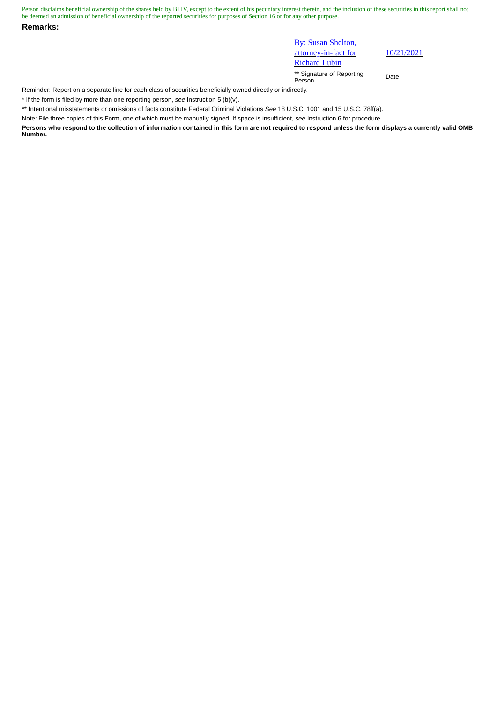Person disclaims beneficial ownership of the shares held by BI IV, except to the extent of his pecuniary interest therein, and the inclusion of these securities in this report shall not be deemed an admission of beneficial ownership of the reported securities for purposes of Section 16 or for any other purpose.

**Remarks:**

**By: Susan Shelton,** attorney-in-fact for Richard Lubin

10/21/2021

\*\* Signature of Reporting Person Date

Reminder: Report on a separate line for each class of securities beneficially owned directly or indirectly.

\* If the form is filed by more than one reporting person, *see* Instruction 5 (b)(v).

\*\* Intentional misstatements or omissions of facts constitute Federal Criminal Violations *See* 18 U.S.C. 1001 and 15 U.S.C. 78ff(a).

Note: File three copies of this Form, one of which must be manually signed. If space is insufficient, *see* Instruction 6 for procedure.

**Persons who respond to the collection of information contained in this form are not required to respond unless the form displays a currently valid OMB Number.**